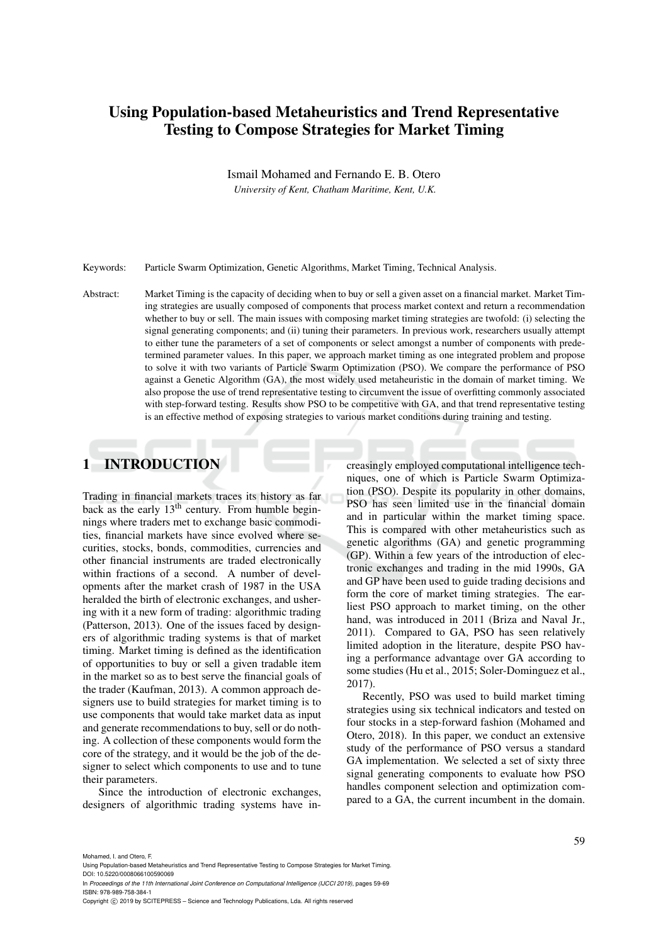# Using Population-based Metaheuristics and Trend Representative Testing to Compose Strategies for Market Timing

Ismail Mohamed and Fernando E. B. Otero

*University of Kent, Chatham Maritime, Kent, U.K.*

Keywords: Particle Swarm Optimization, Genetic Algorithms, Market Timing, Technical Analysis.

Abstract: Market Timing is the capacity of deciding when to buy or sell a given asset on a financial market. Market Timing strategies are usually composed of components that process market context and return a recommendation whether to buy or sell. The main issues with composing market timing strategies are twofold: (i) selecting the signal generating components; and (ii) tuning their parameters. In previous work, researchers usually attempt to either tune the parameters of a set of components or select amongst a number of components with predetermined parameter values. In this paper, we approach market timing as one integrated problem and propose to solve it with two variants of Particle Swarm Optimization (PSO). We compare the performance of PSO against a Genetic Algorithm (GA), the most widely used metaheuristic in the domain of market timing. We also propose the use of trend representative testing to circumvent the issue of overfitting commonly associated with step-forward testing. Results show PSO to be competitive with GA, and that trend representative testing is an effective method of exposing strategies to various market conditions during training and testing.

## 1 INTRODUCTION

Trading in financial markets traces its history as far back as the early  $13<sup>th</sup>$  century. From humble beginnings where traders met to exchange basic commodities, financial markets have since evolved where securities, stocks, bonds, commodities, currencies and other financial instruments are traded electronically within fractions of a second. A number of developments after the market crash of 1987 in the USA heralded the birth of electronic exchanges, and ushering with it a new form of trading: algorithmic trading (Patterson, 2013). One of the issues faced by designers of algorithmic trading systems is that of market timing. Market timing is defined as the identification of opportunities to buy or sell a given tradable item in the market so as to best serve the financial goals of the trader (Kaufman, 2013). A common approach designers use to build strategies for market timing is to use components that would take market data as input and generate recommendations to buy, sell or do nothing. A collection of these components would form the core of the strategy, and it would be the job of the designer to select which components to use and to tune their parameters.

Since the introduction of electronic exchanges, designers of algorithmic trading systems have increasingly employed computational intelligence techniques, one of which is Particle Swarm Optimization (PSO). Despite its popularity in other domains, PSO has seen limited use in the financial domain and in particular within the market timing space. This is compared with other metaheuristics such as genetic algorithms (GA) and genetic programming (GP). Within a few years of the introduction of electronic exchanges and trading in the mid 1990s, GA and GP have been used to guide trading decisions and form the core of market timing strategies. The earliest PSO approach to market timing, on the other hand, was introduced in 2011 (Briza and Naval Jr., 2011). Compared to GA, PSO has seen relatively limited adoption in the literature, despite PSO having a performance advantage over GA according to some studies (Hu et al., 2015; Soler-Dominguez et al., 2017).

Recently, PSO was used to build market timing strategies using six technical indicators and tested on four stocks in a step-forward fashion (Mohamed and Otero, 2018). In this paper, we conduct an extensive study of the performance of PSO versus a standard GA implementation. We selected a set of sixty three signal generating components to evaluate how PSO handles component selection and optimization compared to a GA, the current incumbent in the domain.

Mohamed, I. and Otero, F.<br>Using Population-based Me

Puristics and Trend Representative Testing to Compose Strategies for Market Timing DOI: 10.5220/0008066100590069

In *Proceedings of the 11th International Joint Conference on Computational Intelligence (IJCCI 2019)*, pages 59-69 ISBN: 978-989-758-384-1

Copyright (C) 2019 by SCITEPRESS - Science and Technology Publications, Lda. All rights reserved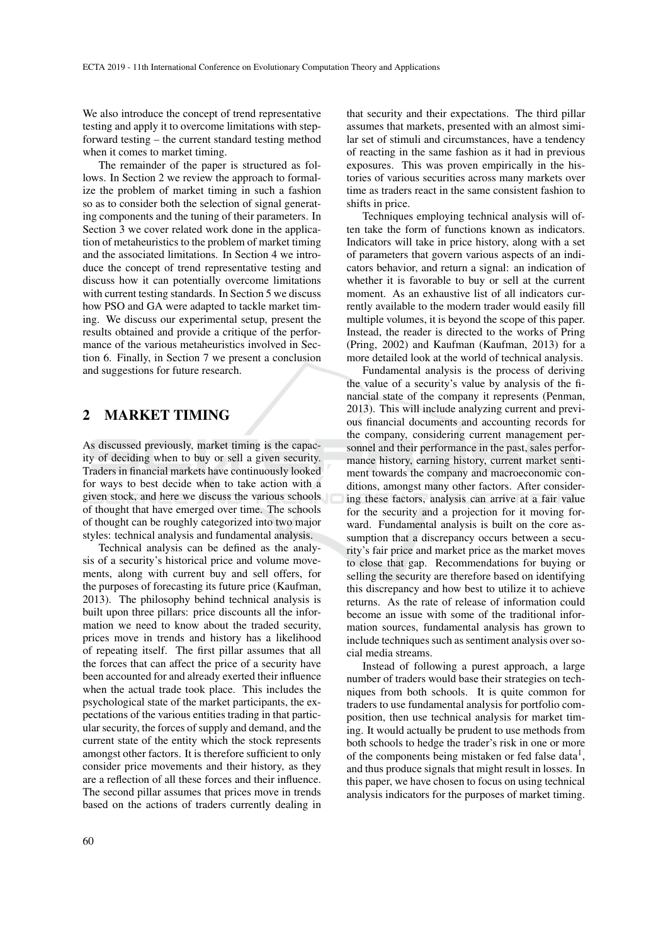We also introduce the concept of trend representative testing and apply it to overcome limitations with stepforward testing – the current standard testing method when it comes to market timing.

The remainder of the paper is structured as follows. In Section 2 we review the approach to formalize the problem of market timing in such a fashion so as to consider both the selection of signal generating components and the tuning of their parameters. In Section 3 we cover related work done in the application of metaheuristics to the problem of market timing and the associated limitations. In Section 4 we introduce the concept of trend representative testing and discuss how it can potentially overcome limitations with current testing standards. In Section 5 we discuss how PSO and GA were adapted to tackle market timing. We discuss our experimental setup, present the results obtained and provide a critique of the performance of the various metaheuristics involved in Section 6. Finally, in Section 7 we present a conclusion and suggestions for future research.

### 2 MARKET TIMING

As discussed previously, market timing is the capacity of deciding when to buy or sell a given security. Traders in financial markets have continuously looked for ways to best decide when to take action with a given stock, and here we discuss the various schools of thought that have emerged over time. The schools of thought can be roughly categorized into two major styles: technical analysis and fundamental analysis.

Technical analysis can be defined as the analysis of a security's historical price and volume movements, along with current buy and sell offers, for the purposes of forecasting its future price (Kaufman, 2013). The philosophy behind technical analysis is built upon three pillars: price discounts all the information we need to know about the traded security, prices move in trends and history has a likelihood of repeating itself. The first pillar assumes that all the forces that can affect the price of a security have been accounted for and already exerted their influence when the actual trade took place. This includes the psychological state of the market participants, the expectations of the various entities trading in that particular security, the forces of supply and demand, and the current state of the entity which the stock represents amongst other factors. It is therefore sufficient to only consider price movements and their history, as they are a reflection of all these forces and their influence. The second pillar assumes that prices move in trends based on the actions of traders currently dealing in

that security and their expectations. The third pillar assumes that markets, presented with an almost similar set of stimuli and circumstances, have a tendency of reacting in the same fashion as it had in previous exposures. This was proven empirically in the histories of various securities across many markets over time as traders react in the same consistent fashion to shifts in price.

Techniques employing technical analysis will often take the form of functions known as indicators. Indicators will take in price history, along with a set of parameters that govern various aspects of an indicators behavior, and return a signal: an indication of whether it is favorable to buy or sell at the current moment. As an exhaustive list of all indicators currently available to the modern trader would easily fill multiple volumes, it is beyond the scope of this paper. Instead, the reader is directed to the works of Pring (Pring, 2002) and Kaufman (Kaufman, 2013) for a more detailed look at the world of technical analysis.

Fundamental analysis is the process of deriving the value of a security's value by analysis of the financial state of the company it represents (Penman, 2013). This will include analyzing current and previous financial documents and accounting records for the company, considering current management personnel and their performance in the past, sales performance history, earning history, current market sentiment towards the company and macroeconomic conditions, amongst many other factors. After considering these factors, analysis can arrive at a fair value for the security and a projection for it moving forward. Fundamental analysis is built on the core assumption that a discrepancy occurs between a security's fair price and market price as the market moves to close that gap. Recommendations for buying or selling the security are therefore based on identifying this discrepancy and how best to utilize it to achieve returns. As the rate of release of information could become an issue with some of the traditional information sources, fundamental analysis has grown to include techniques such as sentiment analysis over social media streams.

Instead of following a purest approach, a large number of traders would base their strategies on techniques from both schools. It is quite common for traders to use fundamental analysis for portfolio composition, then use technical analysis for market timing. It would actually be prudent to use methods from both schools to hedge the trader's risk in one or more of the components being mistaken or fed false data<sup>1</sup>, and thus produce signals that might result in losses. In this paper, we have chosen to focus on using technical analysis indicators for the purposes of market timing.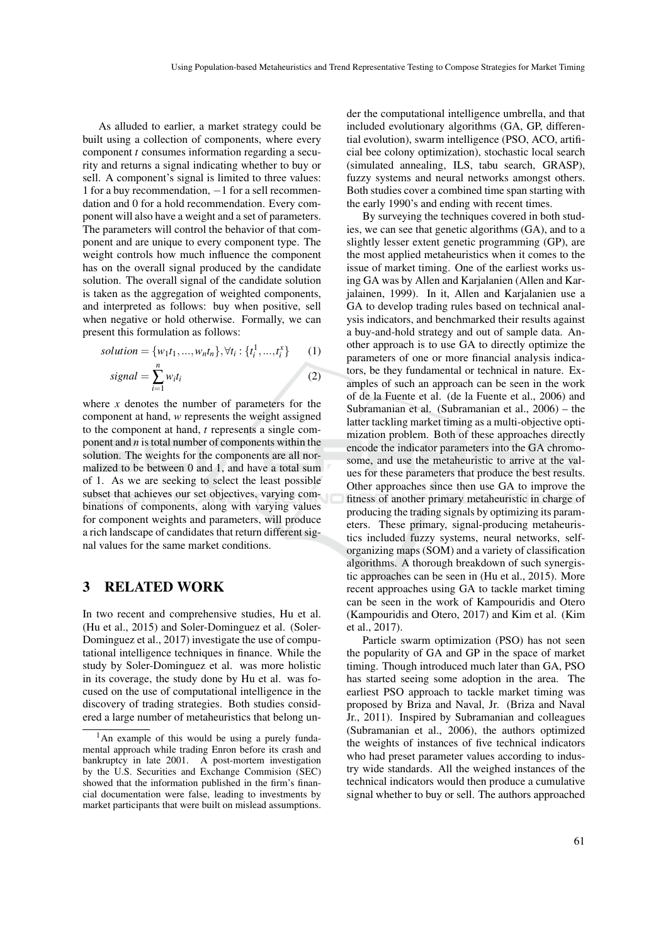As alluded to earlier, a market strategy could be built using a collection of components, where every component *t* consumes information regarding a security and returns a signal indicating whether to buy or sell. A component's signal is limited to three values: 1 for a buy recommendation, −1 for a sell recommendation and 0 for a hold recommendation. Every component will also have a weight and a set of parameters. The parameters will control the behavior of that component and are unique to every component type. The weight controls how much influence the component has on the overall signal produced by the candidate solution. The overall signal of the candidate solution is taken as the aggregation of weighted components, and interpreted as follows: buy when positive, sell when negative or hold otherwise. Formally, we can present this formulation as follows:

solution = {
$$
w_1t_1, ..., w_nt_n
$$
},  $\forall t_i : \{t_i^1, ..., t_i^x\}$  (1)  
signal =  $\sum_{i=1}^{n} w_it_i$  (2)

where  $x$  denotes the number of parameters for the component at hand, *w* represents the weight assigned to the component at hand, *t* represents a single component and *n* is total number of components within the solution. The weights for the components are all normalized to be between 0 and 1, and have a total sum of 1. As we are seeking to select the least possible subset that achieves our set objectives, varying combinations of components, along with varying values for component weights and parameters, will produce a rich landscape of candidates that return different signal values for the same market conditions.

### 3 RELATED WORK

In two recent and comprehensive studies, Hu et al. (Hu et al., 2015) and Soler-Dominguez et al. (Soler-Dominguez et al., 2017) investigate the use of computational intelligence techniques in finance. While the study by Soler-Dominguez et al. was more holistic in its coverage, the study done by Hu et al. was focused on the use of computational intelligence in the discovery of trading strategies. Both studies considered a large number of metaheuristics that belong un-

der the computational intelligence umbrella, and that included evolutionary algorithms (GA, GP, differential evolution), swarm intelligence (PSO, ACO, artificial bee colony optimization), stochastic local search (simulated annealing, ILS, tabu search, GRASP), fuzzy systems and neural networks amongst others. Both studies cover a combined time span starting with the early 1990's and ending with recent times.

By surveying the techniques covered in both studies, we can see that genetic algorithms (GA), and to a slightly lesser extent genetic programming (GP), are the most applied metaheuristics when it comes to the issue of market timing. One of the earliest works using GA was by Allen and Karjalanien (Allen and Karjalainen, 1999). In it, Allen and Karjalanien use a GA to develop trading rules based on technical analysis indicators, and benchmarked their results against a buy-and-hold strategy and out of sample data. Another approach is to use GA to directly optimize the parameters of one or more financial analysis indicators, be they fundamental or technical in nature. Examples of such an approach can be seen in the work of de la Fuente et al. (de la Fuente et al., 2006) and Subramanian et al. (Subramanian et al., 2006) – the latter tackling market timing as a multi-objective optimization problem. Both of these approaches directly encode the indicator parameters into the GA chromosome, and use the metaheuristic to arrive at the values for these parameters that produce the best results. Other approaches since then use GA to improve the fitness of another primary metaheuristic in charge of producing the trading signals by optimizing its parameters. These primary, signal-producing metaheuristics included fuzzy systems, neural networks, selforganizing maps (SOM) and a variety of classification algorithms. A thorough breakdown of such synergistic approaches can be seen in (Hu et al., 2015). More recent approaches using GA to tackle market timing can be seen in the work of Kampouridis and Otero (Kampouridis and Otero, 2017) and Kim et al. (Kim et al., 2017).

Particle swarm optimization (PSO) has not seen the popularity of GA and GP in the space of market timing. Though introduced much later than GA, PSO has started seeing some adoption in the area. The earliest PSO approach to tackle market timing was proposed by Briza and Naval, Jr. (Briza and Naval Jr., 2011). Inspired by Subramanian and colleagues (Subramanian et al., 2006), the authors optimized the weights of instances of five technical indicators who had preset parameter values according to industry wide standards. All the weighed instances of the technical indicators would then produce a cumulative signal whether to buy or sell. The authors approached

<sup>&</sup>lt;sup>1</sup>An example of this would be using a purely fundamental approach while trading Enron before its crash and bankruptcy in late 2001. A post-mortem investigation by the U.S. Securities and Exchange Commision (SEC) showed that the information published in the firm's financial documentation were false, leading to investments by market participants that were built on mislead assumptions.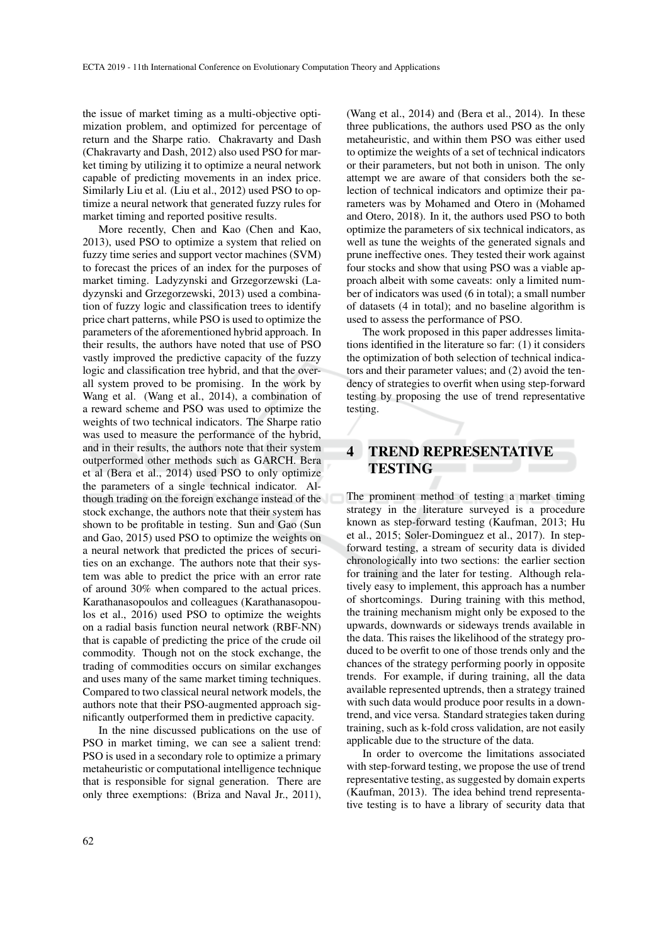the issue of market timing as a multi-objective optimization problem, and optimized for percentage of return and the Sharpe ratio. Chakravarty and Dash (Chakravarty and Dash, 2012) also used PSO for market timing by utilizing it to optimize a neural network capable of predicting movements in an index price. Similarly Liu et al. (Liu et al., 2012) used PSO to optimize a neural network that generated fuzzy rules for market timing and reported positive results.

More recently, Chen and Kao (Chen and Kao, 2013), used PSO to optimize a system that relied on fuzzy time series and support vector machines (SVM) to forecast the prices of an index for the purposes of market timing. Ladyzynski and Grzegorzewski (Ladyzynski and Grzegorzewski, 2013) used a combination of fuzzy logic and classification trees to identify price chart patterns, while PSO is used to optimize the parameters of the aforementioned hybrid approach. In their results, the authors have noted that use of PSO vastly improved the predictive capacity of the fuzzy logic and classification tree hybrid, and that the overall system proved to be promising. In the work by Wang et al. (Wang et al., 2014), a combination of a reward scheme and PSO was used to optimize the weights of two technical indicators. The Sharpe ratio was used to measure the performance of the hybrid, and in their results, the authors note that their system outperformed other methods such as GARCH. Bera et al (Bera et al., 2014) used PSO to only optimize the parameters of a single technical indicator. Although trading on the foreign exchange instead of the stock exchange, the authors note that their system has shown to be profitable in testing. Sun and Gao (Sun and Gao, 2015) used PSO to optimize the weights on a neural network that predicted the prices of securities on an exchange. The authors note that their system was able to predict the price with an error rate of around 30% when compared to the actual prices. Karathanasopoulos and colleagues (Karathanasopoulos et al., 2016) used PSO to optimize the weights on a radial basis function neural network (RBF-NN) that is capable of predicting the price of the crude oil commodity. Though not on the stock exchange, the trading of commodities occurs on similar exchanges and uses many of the same market timing techniques. Compared to two classical neural network models, the authors note that their PSO-augmented approach significantly outperformed them in predictive capacity.

In the nine discussed publications on the use of PSO in market timing, we can see a salient trend: PSO is used in a secondary role to optimize a primary metaheuristic or computational intelligence technique that is responsible for signal generation. There are only three exemptions: (Briza and Naval Jr., 2011),

(Wang et al., 2014) and (Bera et al., 2014). In these three publications, the authors used PSO as the only metaheuristic, and within them PSO was either used to optimize the weights of a set of technical indicators or their parameters, but not both in unison. The only attempt we are aware of that considers both the selection of technical indicators and optimize their parameters was by Mohamed and Otero in (Mohamed and Otero, 2018). In it, the authors used PSO to both optimize the parameters of six technical indicators, as well as tune the weights of the generated signals and prune ineffective ones. They tested their work against four stocks and show that using PSO was a viable approach albeit with some caveats: only a limited number of indicators was used (6 in total); a small number of datasets (4 in total); and no baseline algorithm is used to assess the performance of PSO.

The work proposed in this paper addresses limitations identified in the literature so far: (1) it considers the optimization of both selection of technical indicators and their parameter values; and (2) avoid the tendency of strategies to overfit when using step-forward testing by proposing the use of trend representative testing.

## 4 TREND REPRESENTATIVE **TESTING**

The prominent method of testing a market timing strategy in the literature surveyed is a procedure known as step-forward testing (Kaufman, 2013; Hu et al., 2015; Soler-Dominguez et al., 2017). In stepforward testing, a stream of security data is divided chronologically into two sections: the earlier section for training and the later for testing. Although relatively easy to implement, this approach has a number of shortcomings. During training with this method, the training mechanism might only be exposed to the upwards, downwards or sideways trends available in the data. This raises the likelihood of the strategy produced to be overfit to one of those trends only and the chances of the strategy performing poorly in opposite trends. For example, if during training, all the data available represented uptrends, then a strategy trained with such data would produce poor results in a downtrend, and vice versa. Standard strategies taken during training, such as k-fold cross validation, are not easily applicable due to the structure of the data.

In order to overcome the limitations associated with step-forward testing, we propose the use of trend representative testing, as suggested by domain experts (Kaufman, 2013). The idea behind trend representative testing is to have a library of security data that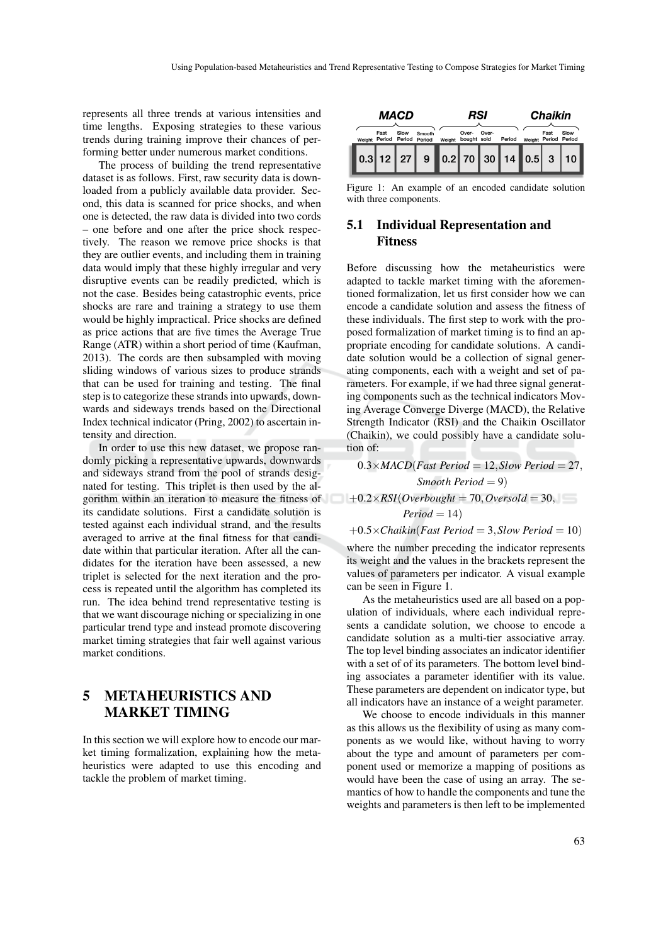represents all three trends at various intensities and time lengths. Exposing strategies to these various trends during training improve their chances of performing better under numerous market conditions.

The process of building the trend representative dataset is as follows. First, raw security data is downloaded from a publicly available data provider. Second, this data is scanned for price shocks, and when one is detected, the raw data is divided into two cords – one before and one after the price shock respectively. The reason we remove price shocks is that they are outlier events, and including them in training data would imply that these highly irregular and very disruptive events can be readily predicted, which is not the case. Besides being catastrophic events, price shocks are rare and training a strategy to use them would be highly impractical. Price shocks are defined as price actions that are five times the Average True Range (ATR) within a short period of time (Kaufman, 2013). The cords are then subsampled with moving sliding windows of various sizes to produce strands that can be used for training and testing. The final step is to categorize these strands into upwards, downwards and sideways trends based on the Directional Index technical indicator (Pring, 2002) to ascertain intensity and direction.

In order to use this new dataset, we propose randomly picking a representative upwards, downwards and sideways strand from the pool of strands designated for testing. This triplet is then used by the algorithm within an iteration to measure the fitness of  $+0.2 \times RSI(Overbought = 70, Over sold = 30,$ its candidate solutions. First a candidate solution is tested against each individual strand, and the results averaged to arrive at the final fitness for that candidate within that particular iteration. After all the candidates for the iteration have been assessed, a new triplet is selected for the next iteration and the process is repeated until the algorithm has completed its run. The idea behind trend representative testing is that we want discourage niching or specializing in one particular trend type and instead promote discovering market timing strategies that fair well against various market conditions.

# 5 METAHEURISTICS AND MARKET TIMING

In this section we will explore how to encode our market timing formalization, explaining how the metaheuristics were adapted to use this encoding and tackle the problem of market timing.

| MACD |  |                                     |      | RSI                                |        |                      |       | <b>Chaikin</b> |  |                              |      |
|------|--|-------------------------------------|------|------------------------------------|--------|----------------------|-------|----------------|--|------------------------------|------|
|      |  | Fast<br>Weight Period Period Period | Slow | Smooth                             | Weight | Over-<br>bought sold | Over- | Period         |  | Fast<br>Weight Period Period | Slow |
|      |  |                                     |      | $0.3$ 12 $27$ 9 0.2 70 30 14 0.5 3 |        |                      |       |                |  |                              |      |
|      |  |                                     |      |                                    |        |                      |       |                |  |                              |      |

Figure 1: An example of an encoded candidate solution with three components.

### 5.1 Individual Representation and Fitness

Before discussing how the metaheuristics were adapted to tackle market timing with the aforementioned formalization, let us first consider how we can encode a candidate solution and assess the fitness of these individuals. The first step to work with the proposed formalization of market timing is to find an appropriate encoding for candidate solutions. A candidate solution would be a collection of signal generating components, each with a weight and set of parameters. For example, if we had three signal generating components such as the technical indicators Moving Average Converge Diverge (MACD), the Relative Strength Indicator (RSI) and the Chaikin Oscillator (Chaikin), we could possibly have a candidate solution of:

 $0.3 \times MACD(Fast Period = 12, Slow Period = 27,$ *Smooth Period* = 9)  $Period = 14$ 

 $+0.5\times$ *Chaikin*(*Fast Period* = 3,*Slow Period* = 10)

where the number preceding the indicator represents its weight and the values in the brackets represent the values of parameters per indicator. A visual example can be seen in Figure 1.

As the metaheuristics used are all based on a population of individuals, where each individual represents a candidate solution, we choose to encode a candidate solution as a multi-tier associative array. The top level binding associates an indicator identifier with a set of of its parameters. The bottom level binding associates a parameter identifier with its value. These parameters are dependent on indicator type, but all indicators have an instance of a weight parameter.

We choose to encode individuals in this manner as this allows us the flexibility of using as many components as we would like, without having to worry about the type and amount of parameters per component used or memorize a mapping of positions as would have been the case of using an array. The semantics of how to handle the components and tune the weights and parameters is then left to be implemented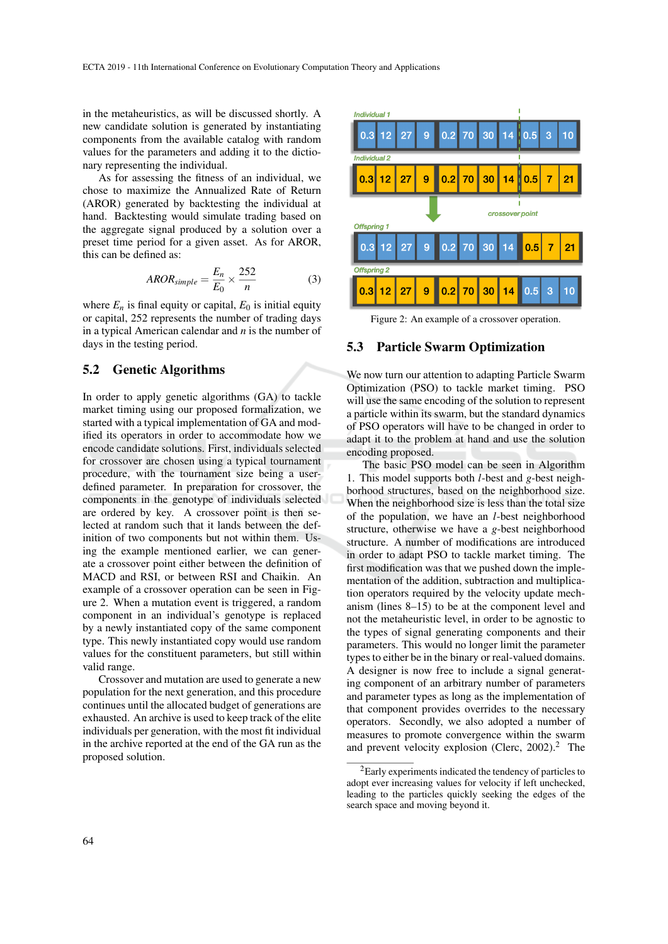in the metaheuristics, as will be discussed shortly. A new candidate solution is generated by instantiating components from the available catalog with random values for the parameters and adding it to the dictionary representing the individual.

As for assessing the fitness of an individual, we chose to maximize the Annualized Rate of Return (AROR) generated by backtesting the individual at hand. Backtesting would simulate trading based on the aggregate signal produced by a solution over a preset time period for a given asset. As for AROR, this can be defined as:

$$
AROR_{simple} = \frac{E_n}{E_0} \times \frac{252}{n}
$$
 (3)

where  $E_n$  is final equity or capital,  $E_0$  is initial equity or capital, 252 represents the number of trading days in a typical American calendar and *n* is the number of days in the testing period.

#### 5.2 Genetic Algorithms

In order to apply genetic algorithms (GA) to tackle market timing using our proposed formalization, we started with a typical implementation of GA and modified its operators in order to accommodate how we encode candidate solutions. First, individuals selected for crossover are chosen using a typical tournament procedure, with the tournament size being a userdefined parameter. In preparation for crossover, the components in the genotype of individuals selected are ordered by key. A crossover point is then selected at random such that it lands between the definition of two components but not within them. Using the example mentioned earlier, we can generate a crossover point either between the definition of MACD and RSI, or between RSI and Chaikin. An example of a crossover operation can be seen in Figure 2. When a mutation event is triggered, a random component in an individual's genotype is replaced by a newly instantiated copy of the same component type. This newly instantiated copy would use random values for the constituent parameters, but still within valid range.

Crossover and mutation are used to generate a new population for the next generation, and this procedure continues until the allocated budget of generations are exhausted. An archive is used to keep track of the elite individuals per generation, with the most fit individual in the archive reported at the end of the GA run as the proposed solution.



Figure 2: An example of a crossover operation.

#### 5.3 Particle Swarm Optimization

We now turn our attention to adapting Particle Swarm Optimization (PSO) to tackle market timing. PSO will use the same encoding of the solution to represent a particle within its swarm, but the standard dynamics of PSO operators will have to be changed in order to adapt it to the problem at hand and use the solution encoding proposed.

The basic PSO model can be seen in Algorithm 1. This model supports both *l*-best and *g*-best neighborhood structures, based on the neighborhood size. When the neighborhood size is less than the total size of the population, we have an *l*-best neighborhood structure, otherwise we have a *g*-best neighborhood structure. A number of modifications are introduced in order to adapt PSO to tackle market timing. The first modification was that we pushed down the implementation of the addition, subtraction and multiplication operators required by the velocity update mechanism (lines 8–15) to be at the component level and not the metaheuristic level, in order to be agnostic to the types of signal generating components and their parameters. This would no longer limit the parameter types to either be in the binary or real-valued domains. A designer is now free to include a signal generating component of an arbitrary number of parameters and parameter types as long as the implementation of that component provides overrides to the necessary operators. Secondly, we also adopted a number of measures to promote convergence within the swarm and prevent velocity explosion (Clerc, 2002).<sup>2</sup> The

<sup>2</sup>Early experiments indicated the tendency of particles to adopt ever increasing values for velocity if left unchecked, leading to the particles quickly seeking the edges of the search space and moving beyond it.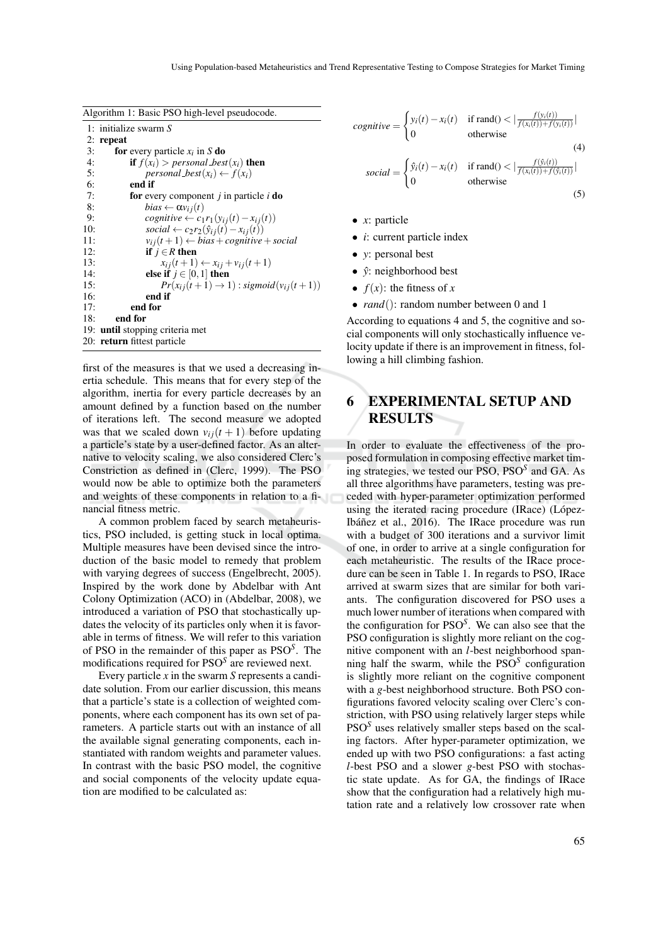|  |  |  |  | Algorithm 1: Basic PSO high-level pseudocode. |
|--|--|--|--|-----------------------------------------------|
|--|--|--|--|-----------------------------------------------|

|     | 1: initialize swarm S                                              |
|-----|--------------------------------------------------------------------|
|     | $2:$ repeat                                                        |
| 3:  | <b>for</b> every particle $x_i$ in S <b>do</b>                     |
| 4:  | <b>if</b> $f(x_i) > personal\_best(x_i)$ then                      |
| 5:  | personal $best(x_i) \leftarrow f(x_i)$                             |
| 6:  | end if                                                             |
| 7:  | <b>for</b> every component <i>j</i> in particle <i>i</i> <b>do</b> |
| 8:  | $bias \leftarrow \alpha v_{ij}(t)$                                 |
| 9:  | cognitive $\leftarrow c_1 r_1(y_{ij}(t) - x_{ij}(t))$              |
| 10: | social $\leftarrow c_2r_2(\hat{y}_{ij}(t) - x_{ij}(t))$            |
| 11: | $v_{ij}(t+1) \leftarrow bias + cognitive + social$                 |
| 12: | if $j \in R$ then                                                  |
| 13: | $x_{ij}(t+1) \leftarrow x_{ij} + v_{ij}(t+1)$                      |
| 14: | else if $j \in [0,1]$ then                                         |
| 15: | $Pr(x_{ij}(t+1) \rightarrow 1)$ : sigmoid $(v_{ij}(t+1))$          |
| 16: | end if                                                             |
| 17: | end for                                                            |
| 18: | end for                                                            |
|     | 19: <b>until</b> stopping criteria met                             |
|     | 20: return fittest particle                                        |
|     |                                                                    |

first of the measures is that we used a decreasing inertia schedule. This means that for every step of the algorithm, inertia for every particle decreases by an amount defined by a function based on the number of iterations left. The second measure we adopted was that we scaled down  $v_{ij}(t + 1)$  before updating a particle's state by a user-defined factor. As an alternative to velocity scaling, we also considered Clerc's Constriction as defined in (Clerc, 1999). The PSO would now be able to optimize both the parameters and weights of these components in relation to a financial fitness metric.

A common problem faced by search metaheuristics, PSO included, is getting stuck in local optima. Multiple measures have been devised since the introduction of the basic model to remedy that problem with varying degrees of success (Engelbrecht, 2005). Inspired by the work done by Abdelbar with Ant Colony Optimization (ACO) in (Abdelbar, 2008), we introduced a variation of PSO that stochastically updates the velocity of its particles only when it is favorable in terms of fitness. We will refer to this variation of PSO in the remainder of this paper as PSO*<sup>S</sup>* . The modifications required for PSO*<sup>S</sup>* are reviewed next.

Every particle *x* in the swarm *S* represents a candidate solution. From our earlier discussion, this means that a particle's state is a collection of weighted components, where each component has its own set of parameters. A particle starts out with an instance of all the available signal generating components, each instantiated with random weights and parameter values. In contrast with the basic PSO model, the cognitive and social components of the velocity update equation are modified to be calculated as:

$$
cognitive = \begin{cases} y_i(t) - x_i(t) & \text{if rand()} < \left| \frac{f(y_i(t))}{f(x_i(t)) + f(y_i(t))} \right| \\ 0 & \text{otherwise} \end{cases} \tag{4}
$$
\n
$$
social = \begin{cases} \hat{y}_i(t) - x_i(t) & \text{if rand()} < \left| \frac{f(\hat{y}_i(t))}{f(x_i(t)) + f(\hat{y}_i(t))} \right| \\ 0 & \text{otherwise} \end{cases} \tag{5}
$$

- *x*: particle
- *i*: current particle index
- *y*: personal best
- $\hat{y}$ : neighborhood best
- $f(x)$ : the fitness of *x*
- *rand*(): random number between 0 and 1

According to equations 4 and 5, the cognitive and social components will only stochastically influence velocity update if there is an improvement in fitness, following a hill climbing fashion.

# 6 EXPERIMENTAL SETUP AND **RESULTS**

In order to evaluate the effectiveness of the proposed formulation in composing effective market timing strategies, we tested our PSO, PSO*<sup>S</sup>* and GA. As all three algorithms have parameters, testing was preceded with hyper-parameter optimization performed using the iterated racing procedure (IRace) (López-Ibáñez et al., 2016). The IRace procedure was run with a budget of 300 iterations and a survivor limit of one, in order to arrive at a single configuration for each metaheuristic. The results of the IRace procedure can be seen in Table 1. In regards to PSO, IRace arrived at swarm sizes that are similar for both variants. The configuration discovered for PSO uses a much lower number of iterations when compared with the configuration for PSO*<sup>S</sup>* . We can also see that the PSO configuration is slightly more reliant on the cognitive component with an *l*-best neighborhood spanning half the swarm, while the PSO*<sup>S</sup>* configuration is slightly more reliant on the cognitive component with a *g*-best neighborhood structure. Both PSO configurations favored velocity scaling over Clerc's constriction, with PSO using relatively larger steps while PSO*<sup>S</sup>* uses relatively smaller steps based on the scaling factors. After hyper-parameter optimization, we ended up with two PSO configurations: a fast acting *l*-best PSO and a slower *g*-best PSO with stochastic state update. As for GA, the findings of IRace show that the configuration had a relatively high mutation rate and a relatively low crossover rate when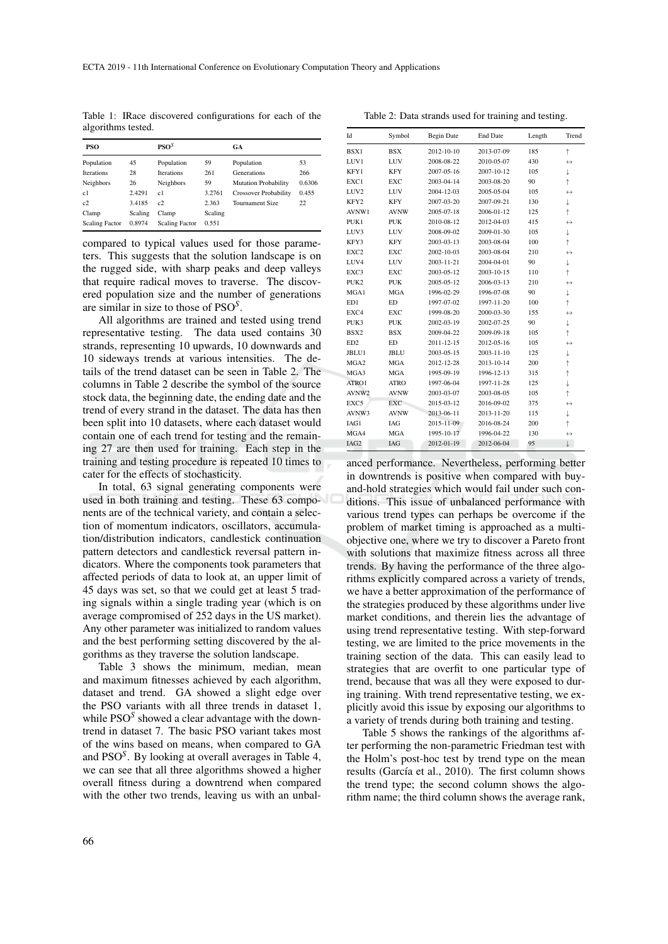Table 1: IRace discovered configurations for each of the algorithms tested.

| PSO                   |         | PSO <sup>S</sup>      |         | GA                           |        |
|-----------------------|---------|-----------------------|---------|------------------------------|--------|
| Population            | 45      | Population            | 59      | Population                   | 53     |
| <b>Iterations</b>     | 28      | <b>Iterations</b>     | 261     | Generations                  | 266    |
| Neighbors             | 26      | Neighbors             | 59      | <b>Mutation Probability</b>  | 0.6306 |
| c1                    | 2.4291  | c1                    | 3.2761  | <b>Crossover Probability</b> | 0.455  |
| c2                    | 3.4185  | c2                    | 2.363   | Tournament Size              | 22     |
| Clamp                 | Scaling | Clamp                 | Scaling |                              |        |
| <b>Scaling Factor</b> | 0.8974  | <b>Scaling Factor</b> | 0.551   |                              |        |

compared to typical values used for those parameters. This suggests that the solution landscape is on the rugged side, with sharp peaks and deep valleys that require radical moves to traverse. The discovered population size and the number of generations are similar in size to those of PSO*<sup>S</sup>* .

All algorithms are trained and tested using trend representative testing. The data used contains 30 strands, representing 10 upwards, 10 downwards and 10 sideways trends at various intensities. The details of the trend dataset can be seen in Table 2. The columns in Table 2 describe the symbol of the source stock data, the beginning date, the ending date and the trend of every strand in the dataset. The data has then been split into 10 datasets, where each dataset would contain one of each trend for testing and the remaining 27 are then used for training. Each step in the training and testing procedure is repeated 10 times to cater for the effects of stochasticity.

In total, 63 signal generating components were used in both training and testing. These 63 components are of the technical variety, and contain a selection of momentum indicators, oscillators, accumulation/distribution indicators, candlestick continuation pattern detectors and candlestick reversal pattern indicators. Where the components took parameters that affected periods of data to look at, an upper limit of 45 days was set, so that we could get at least 5 trading signals within a single trading year (which is on average compromised of 252 days in the US market). Any other parameter was initialized to random values and the best performing setting discovered by the algorithms as they traverse the solution landscape.

Table 3 shows the minimum, median, mean and maximum fitnesses achieved by each algorithm, dataset and trend. GA showed a slight edge over the PSO variants with all three trends in dataset 1, while PSO*<sup>S</sup>* showed a clear advantage with the downtrend in dataset 7. The basic PSO variant takes most of the wins based on means, when compared to GA and PSO*<sup>S</sup>* . By looking at overall averages in Table 4, we can see that all three algorithms showed a higher overall fitness during a downtrend when compared with the other two trends, leaving us with an unbal-

Id Symbol Begin Date End Date Length Trend BSX1 BSX 2012-10-10 2013-07-09 185 ↑ LUV1 LUV  $2008-08-22$   $2010-05-07$  430 ↔ KFY1 KFY 2007-05-16 2007-10-12 105 ↓ EXC1 EXC 2003-04-14 2003-08-20 90 LUV2 LUV 2004-12-03 2005-05-04 105 KFY2 KFY 2007-03-20 2007-09-21 130 ↓ AVNW1 AVNW 2005-07-18 2006-01-12 125 ↑ PUK1 PUK 2010-08-12 2012-04-03 415 ↔ LUV3 LUV 2008-09-02 2009-01-30 105 ₺ KFY3 KFY 2003-03-13 2003-08-04 100 EXC2 EXC 2002-10-03 2003-08-04 210 ↔ LUV4 LUV 2003-11-21 2004-04-01 90 ↓ EXC3 EXC 2003-05-12 2003-10-15 110 PUK2 PUK 2005-05-12 2006-03-13 210 ↔ MGA1 MGA 1996-02-29 1996-07-08 90 ↓ ED1 ED 1997-07-02 1997-11-20 100 ↑ EXC4 EXC 1999-08-20 2000-03-30 155 ↔ PUK3 PUK 2002-03-19 2002-07-25 90 ↓ BSX2 BSX 2009-04-22 2009-09-18 105 ↑ ED2 ED 2011-12-15 2012-05-16 105 JBLU1 JBLU 2003-05-15 2003-11-10 125 ↓ MGA2 MGA 2012-12-28 2013-10-14 200 MGA3 MGA 1995-09-19 1996-12-13 315 ATRO1 ATRO 1997-06-04 1997-11-28 125 ↓ AVNW2 AVNW 2003-03-07 2003-08-05 105 EXC5 EXC 2015-03-12 2016-09-02 375 ↔ AVNW3 AVNW 2013-06-11 2013-11-20 115 ↓ IAG1 IAG 2015-11-09 2016-08-24 200 ↑  $MGA4$  MGA 1995-10-17 1996-04-22 130 ↔ IAG2 IAG 2012-01-19 2012-06-04 95 ↓

anced performance. Nevertheless, performing better in downtrends is positive when compared with buyand-hold strategies which would fail under such conditions. This issue of unbalanced performance with various trend types can perhaps be overcome if the problem of market timing is approached as a multiobjective one, where we try to discover a Pareto front with solutions that maximize fitness across all three trends. By having the performance of the three algorithms explicitly compared across a variety of trends, we have a better approximation of the performance of the strategies produced by these algorithms under live market conditions, and therein lies the advantage of using trend representative testing. With step-forward testing, we are limited to the price movements in the training section of the data. This can easily lead to strategies that are overfit to one particular type of trend, because that was all they were exposed to during training. With trend representative testing, we explicitly avoid this issue by exposing our algorithms to a variety of trends during both training and testing.

Table 5 shows the rankings of the algorithms after performing the non-parametric Friedman test with the Holm's post-hoc test by trend type on the mean results (García et al., 2010). The first column shows the trend type; the second column shows the algorithm name; the third column shows the average rank,

Table 2: Data strands used for training and testing.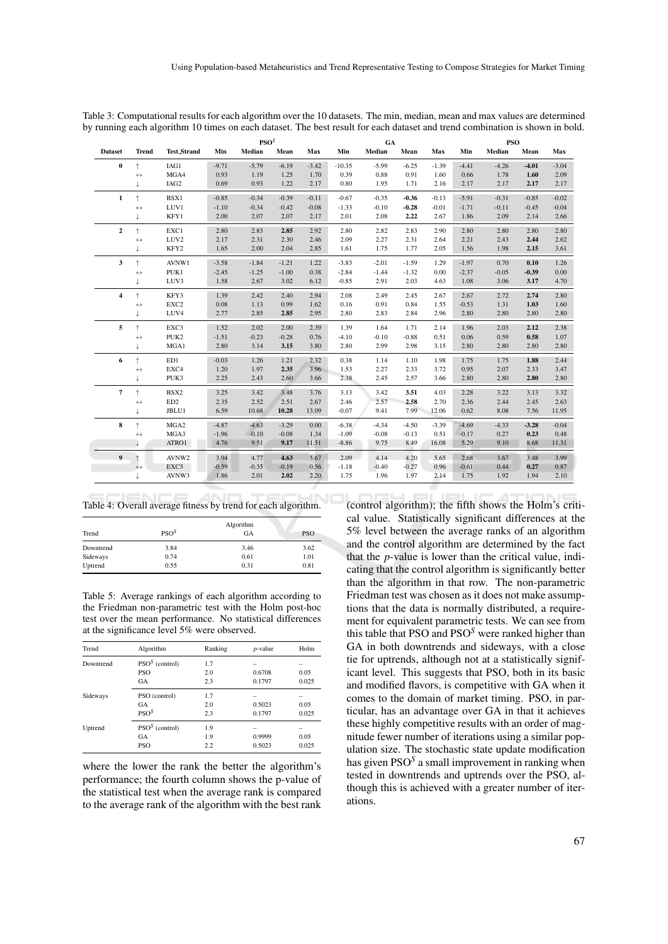|  | Table 3: Computational results for each algorithm over the 10 datasets. The min, median, mean and max values are determined  |  |  |  |  |
|--|------------------------------------------------------------------------------------------------------------------------------|--|--|--|--|
|  | by running each algorithm 10 times on each dataset. The best result for each dataset and trend combination is shown in bold. |  |  |  |  |

|                  |                   |                    |         | PSO <sup>S</sup> |         |         | GA       |         |         | <b>PSO</b> |         |         |         |         |
|------------------|-------------------|--------------------|---------|------------------|---------|---------|----------|---------|---------|------------|---------|---------|---------|---------|
| <b>Dataset</b>   | <b>Trend</b>      | <b>Test_Strand</b> | Min     | Median           | Mean    | Max     | Min      | Median  | Mean    | Max        | Min     | Median  | Mean    | Max     |
| $\pmb{0}$        | ↑                 | IAG1               | $-9.71$ | $-5.79$          | $-6.19$ | $-3.42$ | $-10.35$ | $-5.99$ | $-6.25$ | $-1.39$    | $-4.41$ | $-4.26$ | $-4.01$ | $-3.04$ |
|                  | $\leftrightarrow$ | MGA4               | 0.93    | 1.19             | 1.25    | 1.70    | 0.39     | 0.88    | 0.91    | 1.60       | 0.66    | 1.78    | 1.60    | 2.09    |
|                  | t                 | IAG <sub>2</sub>   | 0.69    | 0.93             | 1.22    | 2.17    | 0.80     | 1.95    | 1.71    | 2.16       | 2.17    | 2.17    | 2.17    | 2.17    |
| $\mathbf{1}$     | $\uparrow$        | BSX1               | $-0.85$ | $-0.34$          | $-0.39$ | $-0.11$ | $-0.67$  | $-0.35$ | $-0.36$ | $-0.13$    | $-5.91$ | $-0.31$ | $-0.85$ | $-0.02$ |
|                  | $\leftrightarrow$ | LUV1               | $-1.10$ | $-0.34$          | $-0.42$ | $-0.08$ | $-1.33$  | $-0.10$ | $-0.28$ | $-0.01$    | $-1.71$ | $-0.11$ | $-0.45$ | $-0.04$ |
|                  | t                 | KFY1               | 2.00    | 2.07             | 2.07    | 2.17    | 2.01     | 2.08    | 2.22    | 2.67       | 1.86    | 2.09    | 2.14    | 2.66    |
| $\boldsymbol{2}$ | $\uparrow$        | EXC1               | 2.80    | 2.83             | 2.85    | 2.92    | 2.80     | 2.82    | 2.83    | 2.90       | 2.80    | 2.80    | 2.80    | 2.80    |
|                  | $\leftrightarrow$ | LUV <sub>2</sub>   | 2.17    | 2.31             | 2.30    | 2.46    | 2.09     | 2.27    | 2.31    | 2.64       | 2.21    | 2.43    | 2.44    | 2.62    |
|                  | Ť.                | KFY2               | 1.65    | 2.00             | 2.04    | 2.85    | 1.61     | 1.75    | 1.77    | 2.05       | 1.56    | 1.98    | 2.15    | 3.61    |
| 3                | $\uparrow$        | AVNW1              | $-3.58$ | $-1.84$          | $-1.21$ | 1.22    | $-3.83$  | $-2.01$ | $-1.59$ | 1.29       | $-1.97$ | 0.70    | 0.10    | 1.26    |
|                  | $\leftrightarrow$ | PUK1               | $-2.45$ | $-1.25$          | $-1.00$ | 0.38    | $-2.84$  | $-1.44$ | $-1.32$ | 0.00       | $-2.37$ | $-0.05$ | $-0.39$ | 0.00    |
|                  | t                 | LUV3               | 1.58    | 2.67             | 3.02    | 6.12    | $-0.85$  | 2.91    | 2.03    | 4.63       | 1.08    | 3.06    | 3.17    | 4.70    |
| 4                | $\uparrow$        | KFY3               | 1.39    | 2.42             | 2.40    | 2.94    | 2.08     | 2.49    | 2.45    | 2.67       | 2.67    | 2.72    | 2.74    | 2.80    |
|                  | $\leftrightarrow$ | EXC2               | 0.08    | 1.13             | 0.99    | 1.62    | 0.16     | 0.91    | 0.84    | 1.55       | $-0.53$ | 1.31    | 1.03    | 1.60    |
|                  | t                 | LUV4               | 2.77    | 2.85             | 2.85    | 2.95    | 2.80     | 2.83    | 2.84    | 2.96       | 2.80    | 2.80    | 2.80    | 2.80    |
| 5                | $\uparrow$        | EXC3               | 1.52    | 2.02             | 2.00    | 2.39    | 1.39     | 1.64    | 1.71    | 2.14       | 1.96    | 2.03    | 2.12    | 2.38    |
|                  | $\leftrightarrow$ | PUK <sub>2</sub>   | $-1.51$ | $-0.23$          | $-0.28$ | 0.76    | $-4.10$  | $-0.10$ | $-0.88$ | 0.51       | 0.06    | 0.59    | 0.58    | 1.07    |
|                  | ↓                 | MGA1               | 2.80    | 3.14             | 3.15    | 3.80    | 2.80     | 2.99    | 2.98    | 3.15       | 2.80    | 2.80    | 2.80    | 2.80    |
| 6                | $\uparrow$        | ED1                | $-0.03$ | 1.26             | 1.21    | 2.32    | 0.38     | 1.14    | 1.10    | 1.98       | 1.75    | 1.75    | 1.88    | 2.44    |
|                  | $\leftrightarrow$ | EXC4               | 1.20    | 1.97             | 2.35    | 3.96    | 1.53     | 2.27    | 2.33    | 3.72       | 0.95    | 2.07    | 2.33    | 3.47    |
|                  | T                 | PUK3               | 2.25    | 2.43             | 2.60    | 3.66    | 2.38     | 2.45    | 2.57    | 3.66       | 2.80    | 2.80    | 2.80    | 2.80    |
| 7                | $\uparrow$        | BSX2               | 3.25    | 3.42             | 3.48    | 3.76    | 3.13     | 3.42    | 3.51    | 4.03       | 2.28    | 3.22    | 3.13    | 3.32    |
|                  | $\leftrightarrow$ | ED <sub>2</sub>    | 2.35    | 2.52             | 2.51    | 2.67    | 2.46     | 2.57    | 2.58    | 2.70       | 2.36    | 2.44    | 2.45    | 2.63    |
|                  |                   | JBLU1              | 6.59    | 10.68            | 10.28   | 13.09   | $-0.07$  | 9.41    | 7.99    | 12.06      | 0.62    | 8.08    | 7.56    | 11.95   |
| 8                | $\uparrow$        | MGA2               | $-4.87$ | $-4.63$          | $-3.29$ | 0.00    | $-6.38$  | $-4.34$ | $-4.50$ | $-3.39$    | $-4.69$ | $-4.33$ | $-3.28$ | $-0.04$ |
|                  | $\leftrightarrow$ | MGA3               | $-1.96$ | $-0.10$          | $-0.08$ | 1.34    | $-1.09$  | $-0.08$ | $-0.13$ | 0.51       | $-0.17$ | 0.27    | 0.23    | 0.48    |
|                  |                   | ATRO1              | 4.76    | 9.51             | 9.17    | 11.51   | $-8.86$  | 9.75    | 8.49    | 16.08      | 5.29    | 9.10    | 8.68    | 11.31   |
| 9                | ↑                 | AVNW2              | 3.94    | 4.77             | 4.63    | 5.67    | 2.09     | 4.14    | 4.20    | 5.65       | 2.68    | 3.67    | 3.48    | 3.99    |
|                  | $\leftrightarrow$ | EXC5               | $-0.59$ | $-0.35$          | $-0.19$ | 0.56    | $-1.18$  | $-0.40$ | $-0.27$ | 0.96       | $-0.61$ | 0.44    | 0.27    | 0.87    |
|                  | Τ                 | AVNW3              | 1.86    | 2.01             | 2.02    | 2.20    | 1.75     | 1.96    | 1.97    | 2.14       | 1.75    | 1.92    | 1.94    | 2.10    |

Table 4: Overall average fitness by trend for each algorithm.

| Trend     | PSO <sup>S</sup> | Algorithm<br>GA | <b>PSO</b> |
|-----------|------------------|-----------------|------------|
| Downtrend | 3.84             | 3.46            | 3.62       |
| Sideways  | 0.74             | 0.61            | 1.01       |
| Uptrend   | 0.55             | 0.31            | 0.81       |

Table 5: Average rankings of each algorithm according to the Friedman non-parametric test with the Holm post-hoc test over the mean performance. No statistical differences at the significance level 5% were observed.

| Trend     | Algorithm        | Ranking | <i>p</i> -value | Holm  |
|-----------|------------------|---------|-----------------|-------|
| Downtrend | $PSOS$ (control) | 1.7     |                 |       |
|           | <b>PSO</b>       | 2.0     | 0.6708          | 0.05  |
|           | <b>GA</b>        | 2.3     | 0.1797          | 0.025 |
| Sideways  | PSO (control)    | 1.7     |                 |       |
|           | GA               | 2.0     | 0.5023          | 0.05  |
|           | PSO <sup>S</sup> | 2.3     | 0.1797          | 0.025 |
| Uptrend   | $PSOS$ (control) | 1.9     |                 |       |
|           | GA               | 1.9     | 0.9999          | 0.05  |
|           | <b>PSO</b>       | 2.2     | 0.5023          | 0.025 |

where the lower the rank the better the algorithm's performance; the fourth column shows the p-value of the statistical test when the average rank is compared to the average rank of the algorithm with the best rank

(control algorithm); the fifth shows the Holm's critical value. Statistically significant differences at the 5% level between the average ranks of an algorithm and the control algorithm are determined by the fact that the *p*-value is lower than the critical value, indicating that the control algorithm is significantly better than the algorithm in that row. The non-parametric Friedman test was chosen as it does not make assumptions that the data is normally distributed, a requirement for equivalent parametric tests. We can see from this table that PSO and PSO*<sup>S</sup>* were ranked higher than GA in both downtrends and sideways, with a close tie for uptrends, although not at a statistically significant level. This suggests that PSO, both in its basic and modified flavors, is competitive with GA when it comes to the domain of market timing. PSO, in particular, has an advantage over GA in that it achieves these highly competitive results with an order of magnitude fewer number of iterations using a similar population size. The stochastic state update modification has given PSO*<sup>S</sup>* a small improvement in ranking when tested in downtrends and uptrends over the PSO, although this is achieved with a greater number of iterations.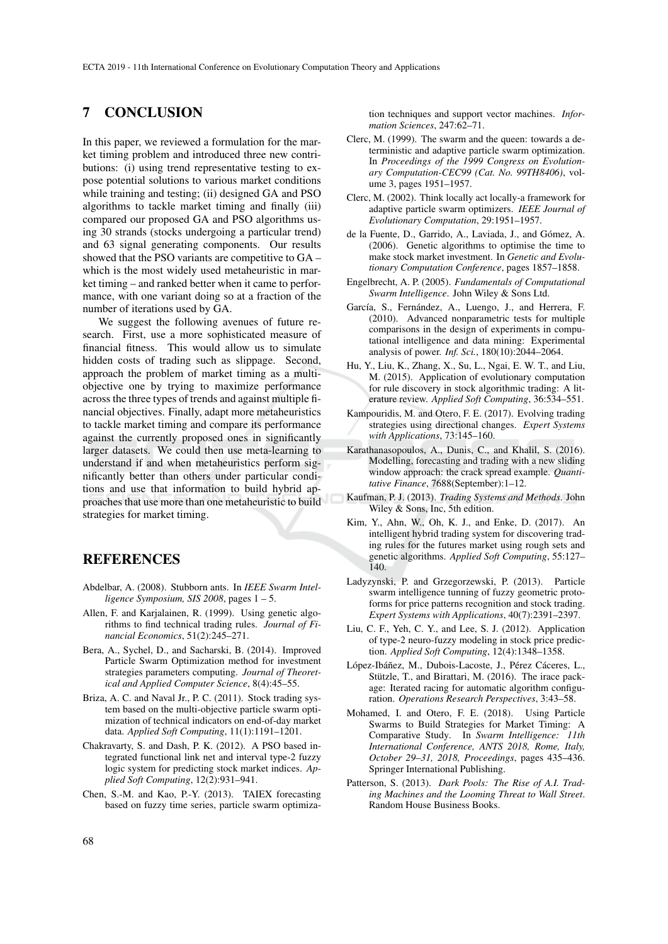#### 7 CONCLUSION

In this paper, we reviewed a formulation for the market timing problem and introduced three new contributions: (i) using trend representative testing to expose potential solutions to various market conditions while training and testing; (ii) designed GA and PSO algorithms to tackle market timing and finally (iii) compared our proposed GA and PSO algorithms using 30 strands (stocks undergoing a particular trend) and 63 signal generating components. Our results showed that the PSO variants are competitive to GA – which is the most widely used metaheuristic in market timing – and ranked better when it came to performance, with one variant doing so at a fraction of the number of iterations used by GA.

We suggest the following avenues of future research. First, use a more sophisticated measure of financial fitness. This would allow us to simulate hidden costs of trading such as slippage. Second, approach the problem of market timing as a multiobjective one by trying to maximize performance across the three types of trends and against multiple financial objectives. Finally, adapt more metaheuristics to tackle market timing and compare its performance against the currently proposed ones in significantly larger datasets. We could then use meta-learning to understand if and when metaheuristics perform significantly better than others under particular conditions and use that information to build hybrid approaches that use more than one metaheuristic to build strategies for market timing.

### **REFERENCES**

- Abdelbar, A. (2008). Stubborn ants. In *IEEE Swarm Intelligence Symposium, SIS 2008*, pages 1 – 5.
- Allen, F. and Karjalainen, R. (1999). Using genetic algorithms to find technical trading rules. *Journal of Financial Economics*, 51(2):245–271.
- Bera, A., Sychel, D., and Sacharski, B. (2014). Improved Particle Swarm Optimization method for investment strategies parameters computing. *Journal of Theoretical and Applied Computer Science*, 8(4):45–55.
- Briza, A. C. and Naval Jr., P. C. (2011). Stock trading system based on the multi-objective particle swarm optimization of technical indicators on end-of-day market data. *Applied Soft Computing*, 11(1):1191–1201.
- Chakravarty, S. and Dash, P. K. (2012). A PSO based integrated functional link net and interval type-2 fuzzy logic system for predicting stock market indices. *Applied Soft Computing*, 12(2):931–941.
- Chen, S.-M. and Kao, P.-Y. (2013). TAIEX forecasting based on fuzzy time series, particle swarm optimiza-

tion techniques and support vector machines. *Information Sciences*, 247:62–71.

- Clerc, M. (1999). The swarm and the queen: towards a deterministic and adaptive particle swarm optimization. In *Proceedings of the 1999 Congress on Evolutionary Computation-CEC99 (Cat. No. 99TH8406)*, volume 3, pages 1951–1957.
- Clerc, M. (2002). Think locally act locally-a framework for adaptive particle swarm optimizers. *IEEE Journal of Evolutionary Computation*, 29:1951–1957.
- de la Fuente, D., Garrido, A., Laviada, J., and Gómez, A. (2006). Genetic algorithms to optimise the time to make stock market investment. In *Genetic and Evolutionary Computation Conference*, pages 1857–1858.
- Engelbrecht, A. P. (2005). *Fundamentals of Computational Swarm Intelligence*. John Wiley & Sons Ltd.
- García, S., Fernández, A., Luengo, J., and Herrera, F. (2010). Advanced nonparametric tests for multiple comparisons in the design of experiments in computational intelligence and data mining: Experimental analysis of power. *Inf. Sci.*, 180(10):2044–2064.
- Hu, Y., Liu, K., Zhang, X., Su, L., Ngai, E. W. T., and Liu, M. (2015). Application of evolutionary computation for rule discovery in stock algorithmic trading: A literature review. *Applied Soft Computing*, 36:534–551.
- Kampouridis, M. and Otero, F. E. (2017). Evolving trading strategies using directional changes. *Expert Systems with Applications*, 73:145–160.
- Karathanasopoulos, A., Dunis, C., and Khalil, S. (2016). Modelling, forecasting and trading with a new sliding window approach: the crack spread example. *Quantitative Finance*, 7688(September):1–12.
- Kaufman, P. J. (2013). *Trading Systems and Methods*. John Wiley & Sons, Inc, 5th edition.
- Kim, Y., Ahn, W., Oh, K. J., and Enke, D. (2017). An intelligent hybrid trading system for discovering trading rules for the futures market using rough sets and genetic algorithms. *Applied Soft Computing*, 55:127– 140.
- Ladyzynski, P. and Grzegorzewski, P. (2013). Particle swarm intelligence tunning of fuzzy geometric protoforms for price patterns recognition and stock trading. *Expert Systems with Applications*, 40(7):2391–2397.
- Liu, C. F., Yeh, C. Y., and Lee, S. J. (2012). Application of type-2 neuro-fuzzy modeling in stock price prediction. *Applied Soft Computing*, 12(4):1348–1358.
- López-Ibáñez, M., Dubois-Lacoste, J., Pérez Cáceres, L., Stützle, T., and Birattari, M. (2016). The irace package: Iterated racing for automatic algorithm configuration. *Operations Research Perspectives*, 3:43–58.
- Mohamed, I. and Otero, F. E. (2018). Using Particle Swarms to Build Strategies for Market Timing: A Comparative Study. In *Swarm Intelligence: 11th International Conference, ANTS 2018, Rome, Italy, October 29–31, 2018, Proceedings*, pages 435–436. Springer International Publishing.
- Patterson, S. (2013). *Dark Pools: The Rise of A.I. Trading Machines and the Looming Threat to Wall Street*. Random House Business Books.